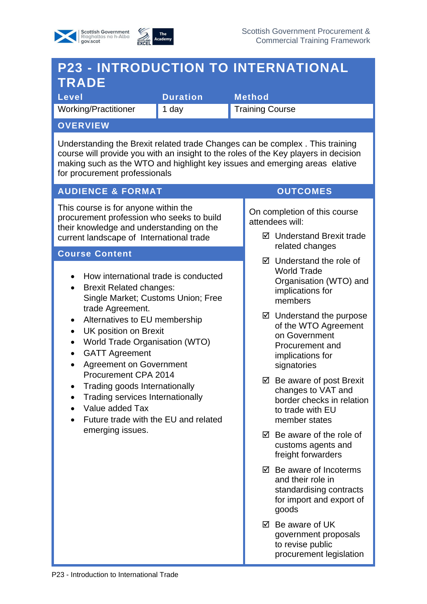



# **P23 - INTRODUCTION TO INTERNATIONAL TRADE**

**Level Contract Duration Method** Working/Practitioner 1 day Training Course

### **OVERVIEW**

Understanding the Brexit related trade Changes can be complex . This training course will provide you with an insight to the roles of the Key players in decision making such as the WTO and highlight key issues and emerging areas elative for procurement professionals

## **AUDIENCE & FORMAT CONTINUES**

This course is for anyone within the procurement profession who seeks to build their knowledge and understanding on the current landscape of International trade

#### **Course Content**

- How international trade is conducted
- Brexit Related changes: Single Market; Customs Union; Free trade Agreement.
- Alternatives to EU membership
- UK position on Brexit
- World Trade Organisation (WTO)
- GATT Agreement
- Agreement on Government Procurement CPA 2014
- Trading goods Internationally
- Trading services Internationally
- Value added Tax
- Future trade with the EU and related emerging issues.

On completion of this course attendees will:

- **Ø** Understand Brexit trade related changes
- $\boxtimes$  Understand the role of World Trade Organisation (WTO) and implications for members
- $\boxtimes$  Understand the purpose of the WTO Agreement on Government Procurement and implications for signatories
- $\boxtimes$  Be aware of post Brexit changes to VAT and border checks in relation to trade with EU member states
- $\boxtimes$  Be aware of the role of customs agents and freight forwarders
- $\boxtimes$  Be aware of Incoterms and their role in standardising contracts for import and export of goods
- Be aware of UK government proposals to revise public procurement legislation